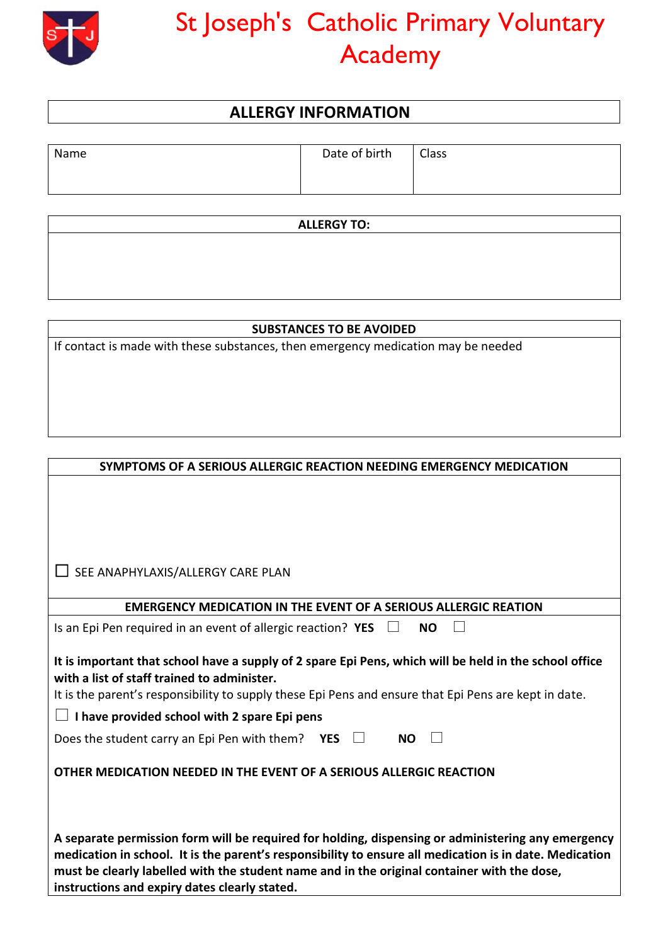

## St Joseph's Catholic Primary Voluntary Academy

## **ALLERGY INFORMATION**

| Name | Date of birth | <b>Class</b> |
|------|---------------|--------------|
|      |               |              |
|      |               |              |

**ALLERGY TO:**

## **SUBSTANCES TO BE AVOIDED**

If contact is made with these substances, then emergency medication may be needed

| SYMPTOMS OF A SERIOUS ALLERGIC REACTION NEEDING EMERGENCY MEDICATION                                                                                                                                                                                                                                                                                          |  |
|---------------------------------------------------------------------------------------------------------------------------------------------------------------------------------------------------------------------------------------------------------------------------------------------------------------------------------------------------------------|--|
|                                                                                                                                                                                                                                                                                                                                                               |  |
|                                                                                                                                                                                                                                                                                                                                                               |  |
|                                                                                                                                                                                                                                                                                                                                                               |  |
| SEE ANAPHYLAXIS/ALLERGY CARE PLAN                                                                                                                                                                                                                                                                                                                             |  |
| <b>EMERGENCY MEDICATION IN THE EVENT OF A SERIOUS ALLERGIC REATION</b>                                                                                                                                                                                                                                                                                        |  |
| Is an Epi Pen required in an event of allergic reaction? YES<br><b>NO</b>                                                                                                                                                                                                                                                                                     |  |
| It is important that school have a supply of 2 spare Epi Pens, which will be held in the school office<br>with a list of staff trained to administer.<br>It is the parent's responsibility to supply these Epi Pens and ensure that Epi Pens are kept in date.                                                                                                |  |
| I have provided school with 2 spare Epi pens                                                                                                                                                                                                                                                                                                                  |  |
| Does the student carry an Epi Pen with them? YES<br><b>NO</b>                                                                                                                                                                                                                                                                                                 |  |
| OTHER MEDICATION NEEDED IN THE EVENT OF A SERIOUS ALLERGIC REACTION                                                                                                                                                                                                                                                                                           |  |
|                                                                                                                                                                                                                                                                                                                                                               |  |
| A separate permission form will be required for holding, dispensing or administering any emergency<br>medication in school. It is the parent's responsibility to ensure all medication is in date. Medication<br>must be clearly labelled with the student name and in the original container with the dose,<br>instructions and expiry dates clearly stated. |  |